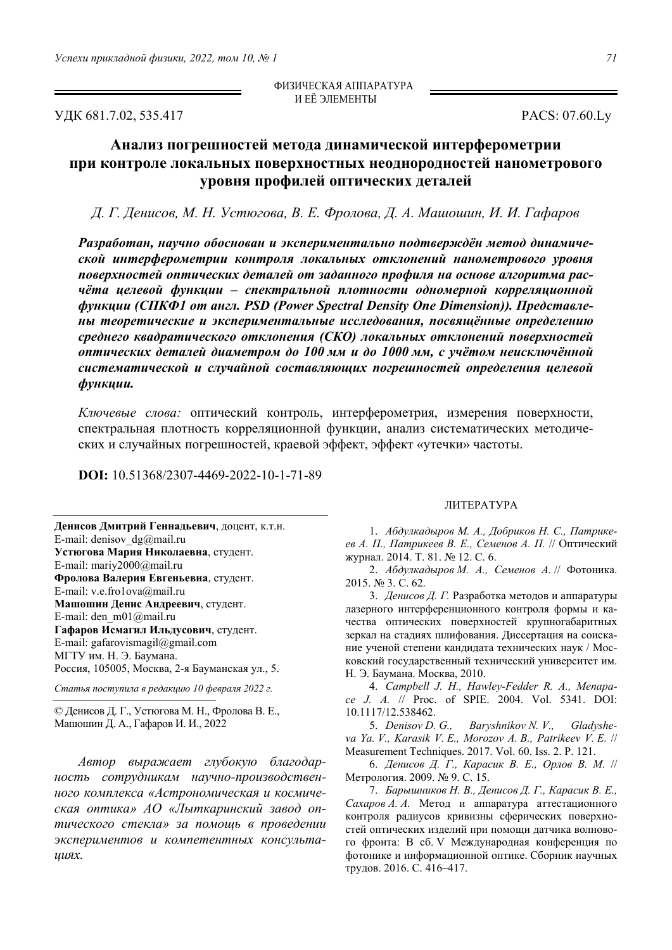УДК 681.7.02, 535.417 PACS: 07.60.Ly

ФИЗИЧЕСКАЯ АППАРАТУРА И ЕЁ ЭЛЕМЕНТЫ

## **Анализ погрешностей метода динамической интерферометрии при контроле локальных поверхностных неоднородностей нанометрового уровня профилей оптических деталей**

Д. Г. Денисов, М. Н. Устюгова, В. Е. Фролова, Д. А. Машошин, И. И. Гафаров

*Разработан, научно обоснован и экспериментально подтверждён метод динамической интерферометрии контроля локальных отклонений нанометрового уровня поверхностей оптических деталей от заданного профиля на основе алгоритма расчёта целевой функции – спектральной плотности одномерной корреляционной функции (СПКФ1 от англ. PSD (Power Spectral Density One Dimension)). Представлены теоретические и экспериментальные исследования, посвящённые определению среднего квадратического отклонения (СКО) локальных отклонений поверхностей оптических деталей диаметром до 100 мм и до 1000 мм, с учётом неисключённой систематической и случайной составляющих погрешностей определения целевой функции.* 

*Ключевые слова:* оптический контроль, интерферометрия, измерения поверхности, спектральная плотность корреляционной функции, анализ систематических методических и случайных погрешностей, краевой эффект, эффект «утечки» частоты.

**DOI:** 10.51368/2307-4469-2022-10-1-71-89

**Денисов Дмитрий Геннадьевич**, доцент, к.т.н. E-mail: denisov  $dg(\vec{a})$ mail.ru **Устюгова Мария Николаевна**, студент. E-mail: mariy2000@mail.ru **Фролова Валерия Евгеньевна**, студент. E-mail: v.e.fro1ova@mail.ru **Машошин Денис Андреевич**, студент. E-mail: den\_m01@mail.ru **Гафаров Исмагил Ильдусович**, студент. E-mail: gafarovismagil@gmail.com МГТУ им. Н. Э. Баумана. Россия, 105005, Москва, 2-я Бауманская ул., 5.

*Статья поступила в редакцию 10 февраля 2022 г.* 

© Денисов Д. Г., Устюгова М. Н., Фролова В. Е., Машошин Д. А., Гафаров И. И., 2022

*Автор выражает глубокую благодарность сотрудникам научно-производственного комплекса «Астрономическая и космическая оптика» АО «Лыткаринский завод оптического стекла» за помощь в проведении экспериментов и компетентных консультациях.* 

## ЛИТЕРАТУРА

1. *Абдулкадыров М. А., Добриков Н. С., Патрикеев А. П., Патрикеев В. Е., Семенов А. П.* // Оптический журнал. 2014. Т. 81. № 12. С. 6.

2. *Абдулкадыров М. A., Семенов А.* // Фотоника. 2015. № 3. С. 62.

3. *Денисов Д. Г.* Разработка методов и аппаратуры лазерного интерференционного контроля формы и качества оптических поверхностей крупногабаритных зеркал на стадиях шлифования. Диссертация на соискание ученой степени кандидата технических наук / Московский государственный технический университет им. Н. Э. Баумана. Москва, 2010.

4. *Campbell J. H., Hawley-Fedder R. A., Menapace J. A.* // Proc. of SPIE. 2004. Vol. 5341. DOI: 10.1117/12.538462.

5. *Denisov D. G., Baryshnikov N. V., Gladysheva Ya. V., Karasik V. E., Morozov A. B., Patrikeev V. E.* // Measurement Techniques. 2017. Vol. 60. Iss. 2. P. 121.

6. *Денисов Д. Г., Карасик В. Е., Орлов В. М.* // Метрология. 2009. № 9. С. 15.

7. *Барышников Н. В., Денисов Д. Г., Карасик В. Е., Сахаров А. А.* Метод и аппаратура аттестационного контроля радиусов кривизны сферических поверхностей оптических изделий при помощи датчика волнового фронта: В сб. V Международная конференция по фотонике и информационной оптике. Сборник научных трудов. 2016. С. 416–417.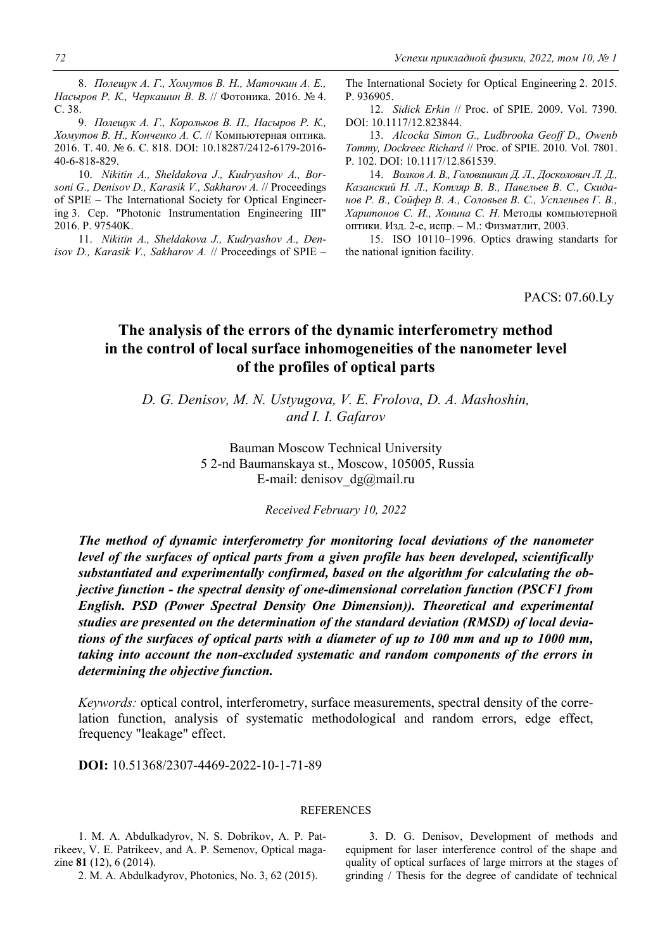8. *Полещук А. Г., Хомутов В. Н., Маточкин А. Е., Насыров Р. К., Черкашин В. В.* // Фотоника. 2016. № 4. С. 38.

9. *Полещук А. Г., Корольков В. П., Насыров Р. К., Хомутов В. Н., Конченко А. С.* // Компьютерная оптика. 2016. Т. 40. № 6. С. 818. DOI: 10.18287/2412-6179-2016- 40-6-818-829.

10. *Nikitin A., Sheldakova J., Kudryashov A., Borsoni G., Denisov D., Karasik V., Sakharov A.* // Proceedings of SPIE – The International Society for Optical Engineering 3. Сер. "Photonic Instrumentation Engineering III" 2016. P. 97540K.

11. *Nikitin A., Sheldakova J., Kudryashov A., Denisov D., Karasik V., Sakharov A.* // Proceedings of SPIE –

The International Society for Optical Engineering 2. 2015. P. 936905.

12. *Sidick Erkin* // Proc. of SPIE. 2009. Vol. 7390. DOI: 10.1117/12.823844.

13. *Alcocka Simon G., Ludbrooka Geoff D., Owenb Tommy, Dockreec Richard* // Proc. of SPIE. 2010. Vol. 7801. P. 102. DOI: 10.1117/12.861539.

14. *Волков А. В., Головашкин Д. Л., Досколович Л. Д., Казанский Н. Л., Котляр В. В., Павельев В. С., Скиданов Р. В., Сойфер В. А., Соловьев В. С., Успленьев Г. В., Харитонов С. И., Хонина С. Н.* Методы компьютерной оптики. Изд. 2-е, испр. – М.: Физматлит, 2003.

15. ISO 10110–1996. Optics drawing standarts for the national ignition facility.

PACS: 07.60.Ly

## **The analysis of the errors of the dynamic interferometry method in the control of local surface inhomogeneities of the nanometer level of the profiles of optical parts**

*D. G. Denisov, M. N. Ustyugova, V. E. Frolova, D. A. Mashoshin, and I. I. Gafarov* 

> Bauman Moscow Technical University 5 2-nd Baumanskaya st., Moscow, 105005, Russia E-mail: denisov\_dg@mail.ru

> > *Received February 10, 2022*

*The method of dynamic interferometry for monitoring local deviations of the nanometer level of the surfaces of optical parts from a given profile has been developed, scientifically substantiated and experimentally confirmed, based on the algorithm for calculating the objective function - the spectral density of one-dimensional correlation function (PSCF1 from English. PSD (Power Spectral Density One Dimension)). Theoretical and experimental studies are presented on the determination of the standard deviation (RMSD) of local deviations of the surfaces of optical parts with a diameter of up to 100 mm and up to 1000 mm, taking into account the non-excluded systematic and random components of the errors in determining the objective function.* 

*Keywords:* optical control, interferometry, surface measurements, spectral density of the correlation function, analysis of systematic methodological and random errors, edge effect, frequency "leakage" effect.

**DOI:** 10.51368/2307-4469-2022-10-1-71-89

## **REFERENCES**

1. M. A. Abdulkadyrov, N. S. Dobrikov, A. P. Patrikeev, V. E. Patrikeev, and A. P. Semenov, Optical magazine **81** (12), 6 (2014).

2. M. A. Abdulkadyrov, Photonics, No. 3, 62 (2015).

3. D. G. Denisov, Development of methods and equipment for laser interference control of the shape and quality of optical surfaces of large mirrors at the stages of grinding / Thesis for the degree of candidate of technical